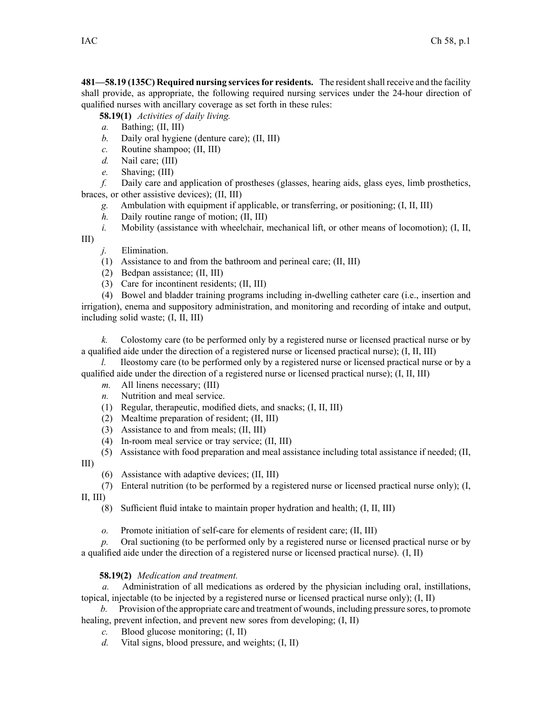**481—58.19 (135C) Required nursing servicesfor residents.** The residentshall receive and the facility shall provide, as appropriate, the following required nursing services under the 24-hour direction of qualified nurses with ancillary coverage as set forth in these rules:

**58.19(1)** *Activities of daily living.*

- *a.* Bathing; (II, III)
- *b.* Daily oral hygiene (denture care); (II, III)
- *c.* Routine shampoo; (II, III)
- *d.* Nail care; (III)
- *e.* Shaving; (III)

*f.* Daily care and application of prostheses (glasses, hearing aids, glass eyes, limb prosthetics, braces, or other assistive devices); (II, III)

- *g.* Ambulation with equipment if applicable, or transferring, or positioning; (I, II, III)
- *h.* Daily routine range of motion; (II, III)

*i.* Mobility (assistance with wheelchair, mechanical lift, or other means of locomotion); (I, II, III)

*j.* Elimination.

- (1) Assistance to and from the bathroom and perineal care; (II, III)
- (2) Bedpan assistance; (II, III)
- (3) Care for incontinent residents; (II, III)

(4) Bowel and bladder training programs including in-dwelling catheter care (i.e., insertion and irrigation), enema and suppository administration, and monitoring and recording of intake and output, including solid waste; (I, II, III)

*k.* Colostomy care (to be performed only by <sup>a</sup> registered nurse or licensed practical nurse or by <sup>a</sup> qualified aide under the direction of <sup>a</sup> registered nurse or licensed practical nurse); (I, II, III)

*l.* Ileostomy care (to be performed only by a registered nurse or licensed practical nurse or by a qualified aide under the direction of a registered nurse or licensed practical nurse);  $(I, II, III)$ 

- *m.* All linens necessary; (III)
- *n.* Nutrition and meal service.
- (1) Regular, therapeutic, modified diets, and snacks; (I, II, III)
- (2) Mealtime preparation of resident; (II, III)
- (3) Assistance to and from meals; (II, III)
- (4) In-room meal service or tray service; (II, III)

(5) Assistance with food preparation and meal assistance including total assistance if needed; (II,

III)

- (6) Assistance with adaptive devices; (II, III)
- (7) Enteral nutrition (to be performed by <sup>a</sup> registered nurse or licensed practical nurse only); (I,

 $II, III$ 

- (8) Sufficient fluid intake to maintain proper hydration and health; (I, II, III)
- *o.* Promote initiation of self-care for elements of resident care; (II, III)

*p.* Oral suctioning (to be performed only by <sup>a</sup> registered nurse or licensed practical nurse or by <sup>a</sup> qualified aide under the direction of <sup>a</sup> registered nurse or licensed practical nurse). (I, II)

## **58.19(2)** *Medication and treatment.*

*a.* Administration of all medications as ordered by the physician including oral, instillations, topical, injectable (to be injected by <sup>a</sup> registered nurse or licensed practical nurse only); (I, II)

- *b.* Provision of the appropriate care and treatment of wounds, including pressure sores, to promote healing, preven<sup>t</sup> infection, and preven<sup>t</sup> new sores from developing; (I, II)
	- *c.* Blood glucose monitoring; (I, II)
	- *d.* Vital signs, blood pressure, and weights; (I, II)